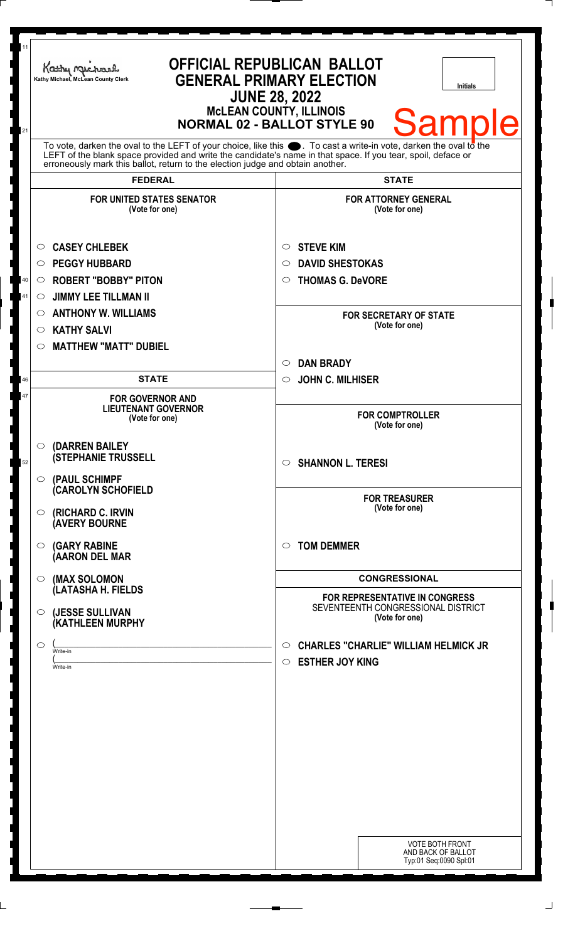| 11<br>21                                                                                                                                                                                                                                                                                                               | <b>OFFICIAL REPUBLICAN BALLOT</b><br>Kathy Michael<br><b>GENERAL PRIMARY ELECTION</b><br>Kathy Michael, McLean County Clerk<br><b>Initials</b><br><b>JUNE 28, 2022</b><br><b>MCLEAN COUNTY, ILLINOIS</b><br><b>Sample</b><br><b>NORMAL 02 - BALLOT STYLE 90</b> |                                                                                               |
|------------------------------------------------------------------------------------------------------------------------------------------------------------------------------------------------------------------------------------------------------------------------------------------------------------------------|-----------------------------------------------------------------------------------------------------------------------------------------------------------------------------------------------------------------------------------------------------------------|-----------------------------------------------------------------------------------------------|
| To vote, darken the oval to the LEFT of your choice, like this $\bullet$ . To cast a write-in vote, darken the oval to the LEFT of the blank space provided and write the candidate's name in that space. If you tear, spoil, deface<br>erroneously mark this ballot, return to the election judge and obtain another. |                                                                                                                                                                                                                                                                 |                                                                                               |
|                                                                                                                                                                                                                                                                                                                        | <b>FEDERAL</b>                                                                                                                                                                                                                                                  | <b>STATE</b>                                                                                  |
|                                                                                                                                                                                                                                                                                                                        | <b>FOR UNITED STATES SENATOR</b><br>(Vote for one)                                                                                                                                                                                                              | <b>FOR ATTORNEY GENERAL</b><br>(Vote for one)                                                 |
|                                                                                                                                                                                                                                                                                                                        | <b>CASEY CHLEBEK</b><br>$\circ$                                                                                                                                                                                                                                 | <b>STEVE KIM</b><br>$\circ$                                                                   |
|                                                                                                                                                                                                                                                                                                                        | <b>PEGGY HUBBARD</b><br>$\circ$                                                                                                                                                                                                                                 | <b>DAVID SHESTOKAS</b><br>$\circ$                                                             |
| 40                                                                                                                                                                                                                                                                                                                     | <b>ROBERT "BOBBY" PITON</b><br>$\circ$                                                                                                                                                                                                                          | <b>THOMAS G. DeVORE</b><br>$\circ$                                                            |
| 41                                                                                                                                                                                                                                                                                                                     | <b>JIMMY LEE TILLMAN II</b><br>$\circ$                                                                                                                                                                                                                          |                                                                                               |
|                                                                                                                                                                                                                                                                                                                        | <b>ANTHONY W. WILLIAMS</b><br>$\circ$                                                                                                                                                                                                                           | <b>FOR SECRETARY OF STATE</b>                                                                 |
|                                                                                                                                                                                                                                                                                                                        | <b>KATHY SALVI</b><br>O                                                                                                                                                                                                                                         | (Vote for one)                                                                                |
|                                                                                                                                                                                                                                                                                                                        | <b>MATTHEW "MATT" DUBIEL</b><br>◯                                                                                                                                                                                                                               |                                                                                               |
|                                                                                                                                                                                                                                                                                                                        |                                                                                                                                                                                                                                                                 | <b>DAN BRADY</b><br>$\circ$                                                                   |
| 46                                                                                                                                                                                                                                                                                                                     | <b>STATE</b>                                                                                                                                                                                                                                                    | <b>JOHN C. MILHISER</b><br>$\circ$                                                            |
| 47                                                                                                                                                                                                                                                                                                                     | <b>FOR GOVERNOR AND</b><br><b>LIEUTENANT GOVERNOR</b><br>(Vote for one)                                                                                                                                                                                         | <b>FOR COMPTROLLER</b><br>(Vote for one)                                                      |
| 52                                                                                                                                                                                                                                                                                                                     | (DARREN BAILEY<br>$\circ$<br><b>(STEPHANIE TRUSSELL</b>                                                                                                                                                                                                         | <b>SHANNON L. TERESI</b><br>$\circ$                                                           |
|                                                                                                                                                                                                                                                                                                                        | (PAUL SCHIMPF<br>$\circ$<br><b>CAROLYN SCHOFIELD</b><br>(RICHARD C. IRVIN<br>O<br><b>(AVERY BOURNE</b>                                                                                                                                                          | <b>FOR TREASURER</b><br>(Vote for one)                                                        |
|                                                                                                                                                                                                                                                                                                                        | <b>(GARY RABINE</b><br>O<br>(AARON DEL MAR                                                                                                                                                                                                                      | <b>TOM DEMMER</b><br>$\circ$                                                                  |
|                                                                                                                                                                                                                                                                                                                        | (MAX SOLOMON<br>$\circ$                                                                                                                                                                                                                                         | <b>CONGRESSIONAL</b>                                                                          |
|                                                                                                                                                                                                                                                                                                                        | (LATASHA H. FIELDS<br>(JESSE SULLIVAN<br>$\circ$<br>(KATHLEEN MURPHY                                                                                                                                                                                            | <b>FOR REPRESENTATIVE IN CONGRESS</b><br>SEVENTEENTH CONGRESSIONAL DISTRICT<br>(Vote for one) |
|                                                                                                                                                                                                                                                                                                                        | O<br>Write-in<br>Write-in                                                                                                                                                                                                                                       | <b>CHARLES "CHARLIE" WILLIAM HELMICK JR</b><br>$\circ$<br><b>ESTHER JOY KING</b><br>$\circ$   |
|                                                                                                                                                                                                                                                                                                                        |                                                                                                                                                                                                                                                                 | <b>VOTE BOTH FRONT</b><br>AND BACK OF BALLOT<br>Typ:01 Seq:0090 Spl:01                        |